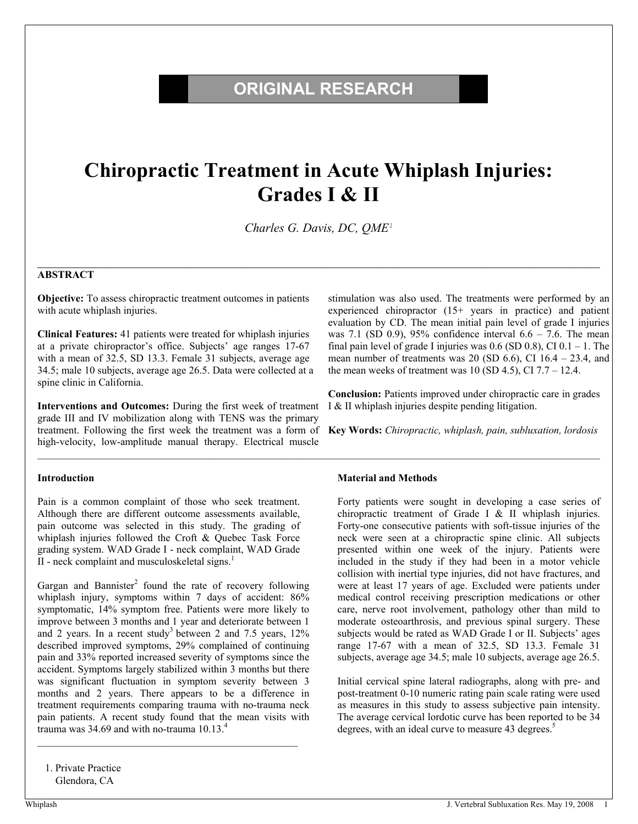# **ORIGINAL RESEARCH**

# **Chiropractic Treatment in Acute Whiplash Injuries: Grades I & II**

*Charles G. Davis, DC, QME<sup>1</sup>*

 $\mathcal{L}_\mathcal{L} = \mathcal{L}_\mathcal{L} = \mathcal{L}_\mathcal{L} = \mathcal{L}_\mathcal{L} = \mathcal{L}_\mathcal{L} = \mathcal{L}_\mathcal{L} = \mathcal{L}_\mathcal{L} = \mathcal{L}_\mathcal{L} = \mathcal{L}_\mathcal{L} = \mathcal{L}_\mathcal{L} = \mathcal{L}_\mathcal{L} = \mathcal{L}_\mathcal{L} = \mathcal{L}_\mathcal{L} = \mathcal{L}_\mathcal{L} = \mathcal{L}_\mathcal{L} = \mathcal{L}_\mathcal{L} = \mathcal{L}_\mathcal{L}$ 

 $\mathcal{L}_\text{max} = \mathcal{L}_\text{max} = \mathcal{L}_\text{max} = \mathcal{L}_\text{max} = \mathcal{L}_\text{max} = \mathcal{L}_\text{max} = \mathcal{L}_\text{max} = \mathcal{L}_\text{max} = \mathcal{L}_\text{max} = \mathcal{L}_\text{max} = \mathcal{L}_\text{max} = \mathcal{L}_\text{max} = \mathcal{L}_\text{max} = \mathcal{L}_\text{max} = \mathcal{L}_\text{max} = \mathcal{L}_\text{max} = \mathcal{L}_\text{max} = \mathcal{L}_\text{max} = \mathcal{$ 

### **ABSTRACT**

**Objective:** To assess chiropractic treatment outcomes in patients with acute whiplash injuries.

**Clinical Features:** 41 patients were treated for whiplash injuries at a private chiropractor's office. Subjects' age ranges 17-67 with a mean of 32.5, SD 13.3. Female 31 subjects, average age 34.5; male 10 subjects, average age 26.5. Data were collected at a spine clinic in California.

**Interventions and Outcomes:** During the first week of treatment grade III and IV mobilization along with TENS was the primary treatment. Following the first week the treatment was a form of **Key Words:** *Chiropractic, whiplash, pain, subluxation, lordosis*  high-velocity, low-amplitude manual therapy. Electrical muscle

#### **Introduction**

Pain is a common complaint of those who seek treatment. Although there are different outcome assessments available, pain outcome was selected in this study. The grading of whiplash injuries followed the Croft & Quebec Task Force grading system. WAD Grade I - neck complaint, WAD Grade II - neck complaint and musculoskeletal signs. $<sup>1</sup>$ </sup>

Gargan and Bannister<sup>2</sup> found the rate of recovery following whiplash injury, symptoms within 7 days of accident: 86% symptomatic, 14% symptom free. Patients were more likely to improve between 3 months and 1 year and deteriorate between 1 and 2 years. In a recent study<sup>3</sup> between 2 and 7.5 years, 12% described improved symptoms, 29% complained of continuing pain and 33% reported increased severity of symptoms since the accident. Symptoms largely stabilized within 3 months but there was significant fluctuation in symptom severity between 3 months and 2 years. There appears to be a difference in treatment requirements comparing trauma with no-trauma neck pain patients. A recent study found that the mean visits with trauma was 34.69 and with no-trauma  $10.13<sup>4</sup>$ 

\_\_\_\_\_\_\_\_\_\_\_\_\_\_\_\_\_\_\_\_\_\_\_\_\_\_\_\_\_\_\_\_\_\_\_\_\_\_\_\_\_\_\_\_\_\_\_\_\_\_

1. Private Practice Glendora, CA

stimulation was also used. The treatments were performed by an experienced chiropractor (15+ years in practice) and patient evaluation by CD. The mean initial pain level of grade I injuries was 7.1 (SD 0.9), 95% confidence interval  $6.6 - 7.6$ . The mean final pain level of grade I injuries was  $0.6$  (SD  $0.8$ ), CI  $0.1 - 1$ . The mean number of treatments was 20 (SD  $6.6$ ), CI  $16.4 - 23.4$ , and the mean weeks of treatment was  $10$  (SD 4.5), CI 7.7 – 12.4.

**Conclusion:** Patients improved under chiropractic care in grades I & II whiplash injuries despite pending litigation.

#### **Material and Methods**

Forty patients were sought in developing a case series of chiropractic treatment of Grade I & II whiplash injuries. Forty-one consecutive patients with soft-tissue injuries of the neck were seen at a chiropractic spine clinic. All subjects presented within one week of the injury. Patients were included in the study if they had been in a motor vehicle collision with inertial type injuries, did not have fractures, and were at least 17 years of age. Excluded were patients under medical control receiving prescription medications or other care, nerve root involvement, pathology other than mild to moderate osteoarthrosis, and previous spinal surgery. These subjects would be rated as WAD Grade I or II. Subjects' ages range 17-67 with a mean of 32.5, SD 13.3. Female 31 subjects, average age 34.5; male 10 subjects, average age 26.5.

Initial cervical spine lateral radiographs, along with pre- and post-treatment 0-10 numeric rating pain scale rating were used as measures in this study to assess subjective pain intensity. The average cervical lordotic curve has been reported to be 34 degrees, with an ideal curve to measure 43 degrees.<sup>5</sup>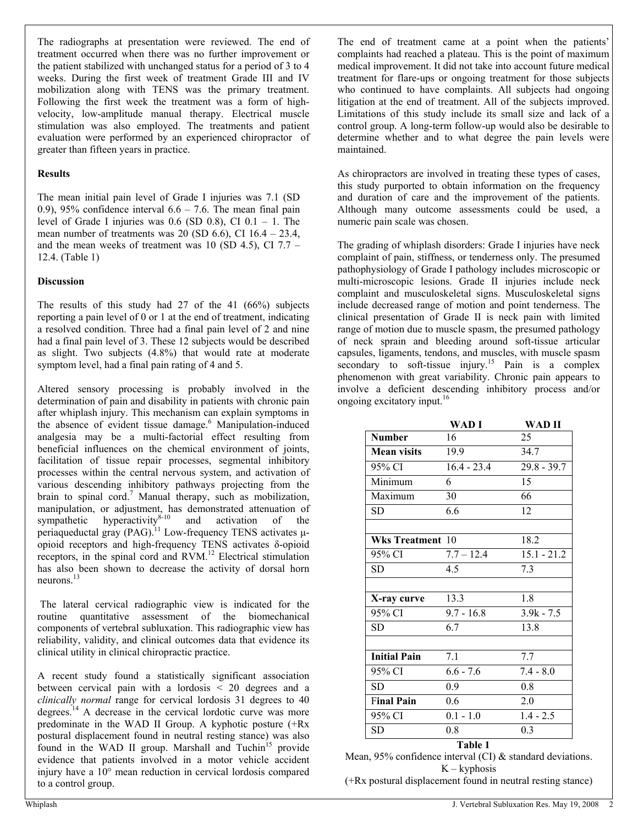The radiographs at presentation were reviewed. The end of treatment occurred when there was no further improvement or the patient stabilized with unchanged status for a period of 3 to 4 weeks. During the first week of treatment Grade III and IV mobilization along with TENS was the primary treatment. Following the first week the treatment was a form of highvelocity, low-amplitude manual therapy. Electrical muscle stimulation was also employed. The treatments and patient evaluation were performed by an experienced chiropractor of greater than fifteen years in practice.

# **Results**

The mean initial pain level of Grade I injuries was 7.1 (SD 0.9), 95% confidence interval  $6.6 - 7.6$ . The mean final pain level of Grade I injuries was  $0.6$  (SD  $0.8$ ), CI  $0.1 - 1$ . The mean number of treatments was 20 (SD 6.6), CI  $16.4 - 23.4$ , and the mean weeks of treatment was 10 (SD 4.5), CI 7.7 – 12.4. (Table 1)

# **Discussion**

The results of this study had 27 of the 41 (66%) subjects reporting a pain level of 0 or 1 at the end of treatment, indicating a resolved condition. Three had a final pain level of 2 and nine had a final pain level of 3. These 12 subjects would be described as slight. Two subjects (4.8%) that would rate at moderate symptom level, had a final pain rating of 4 and 5.

Altered sensory processing is probably involved in the determination of pain and disability in patients with chronic pain after whiplash injury. This mechanism can explain symptoms in the absence of evident tissue damage.<sup>6</sup> Manipulation-induced analgesia may be a multi-factorial effect resulting from beneficial influences on the chemical environment of joints, facilitation of tissue repair processes, segmental inhibitory processes within the central nervous system, and activation of various descending inhibitory pathways projecting from the brain to spinal cord.<sup>7</sup> Manual therapy, such as mobilization, manipulation, or adjustment, has demonstrated attenuation of sympathetic hyperactivity $8-10$  and activation of the periaqueductal gray (PAG).<sup>11</sup> Low-frequency TENS activates µopioid receptors and high-frequency TENS activates δ-opioid receptors, in the spinal cord and RVM.<sup>12</sup> Electrical stimulation has also been shown to decrease the activity of dorsal horn neurons. $^{13}$ 

 The lateral cervical radiographic view is indicated for the routine quantitative assessment of the biomechanical components of vertebral subluxation. This radiographic view has reliability, validity, and clinical outcomes data that evidence its clinical utility in clinical chiropractic practice.

A recent study found a statistically significant association between cervical pain with a lordosis < 20 degrees and a *clinically normal* range for cervical lordosis 31 degrees to 40 degrees.<sup>14</sup> A decrease in the cervical lordotic curve was more predominate in the WAD II Group. A kyphotic posture (+Rx postural displacement found in neutral resting stance) was also found in the WAD II group. Marshall and Tuchin<sup>15</sup> provide evidence that patients involved in a motor vehicle accident injury have a 10° mean reduction in cervical lordosis compared to a control group.

The end of treatment came at a point when the patients' complaints had reached a plateau. This is the point of maximum medical improvement. It did not take into account future medical treatment for flare-ups or ongoing treatment for those subjects who continued to have complaints. All subjects had ongoing litigation at the end of treatment. All of the subjects improved. Limitations of this study include its small size and lack of a control group. A long-term follow-up would also be desirable to determine whether and to what degree the pain levels were maintained.

As chiropractors are involved in treating these types of cases, this study purported to obtain information on the frequency and duration of care and the improvement of the patients. Although many outcome assessments could be used, a numeric pain scale was chosen.

The grading of whiplash disorders: Grade I injuries have neck complaint of pain, stiffness, or tenderness only. The presumed pathophysiology of Grade I pathology includes microscopic or multi-microscopic lesions. Grade II injuries include neck complaint and musculoskeletal signs. Musculoskeletal signs include decreased range of motion and point tenderness. The clinical presentation of Grade II is neck pain with limited range of motion due to muscle spasm, the presumed pathology of neck sprain and bleeding around soft-tissue articular capsules, ligaments, tendons, and muscles, with muscle spasm secondary to soft-tissue injury.<sup>15</sup> Pain is a complex phenomenon with great variability. Chronic pain appears to involve a deficient descending inhibitory process and/or ongoing excitatory input.<sup>16</sup>

|                         | WAD I         | WAD II        |
|-------------------------|---------------|---------------|
| Number                  | 16            | 25            |
| <b>Mean visits</b>      | 19.9          | 34.7          |
| 95% CI                  | $16.4 - 23.4$ | $29.8 - 39.7$ |
| Minimum                 | 6             | 15            |
| Maximum                 | 30            | 66            |
| SD.                     | 6.6           | 12            |
|                         |               |               |
| <b>Wks Treatment 10</b> |               | 18.2          |
| 95% CI                  | $7.7 - 12.4$  | $15.1 - 21.2$ |
| SD                      | 4.5           | 7.3           |
|                         |               |               |
| X-ray curve             | 13.3          | 1.8           |
| 95% CI                  | $9.7 - 16.8$  | $3.9k - 7.5$  |
| <b>SD</b>               | 6.7           | 13.8          |
|                         |               |               |
| <b>Initial Pain</b>     | 7.1           | 7.7           |
| 95% CI                  | $6.6 - 7.6$   | $7.4 - 8.0$   |
| <b>SD</b>               | 0.9           | 0.8           |
| <b>Final Pain</b>       | 0.6           | 2.0           |
| 95% CI                  | $0.1 - 1.0$   | $1.4 - 2.5$   |
| <b>SD</b>               | 0.8           | 0.3           |
|                         |               |               |

**Table 1**  Mean, 95% confidence interval (CI) & standard deviations.  $K - k$ yphosis (+Rx postural displacement found in neutral resting stance)